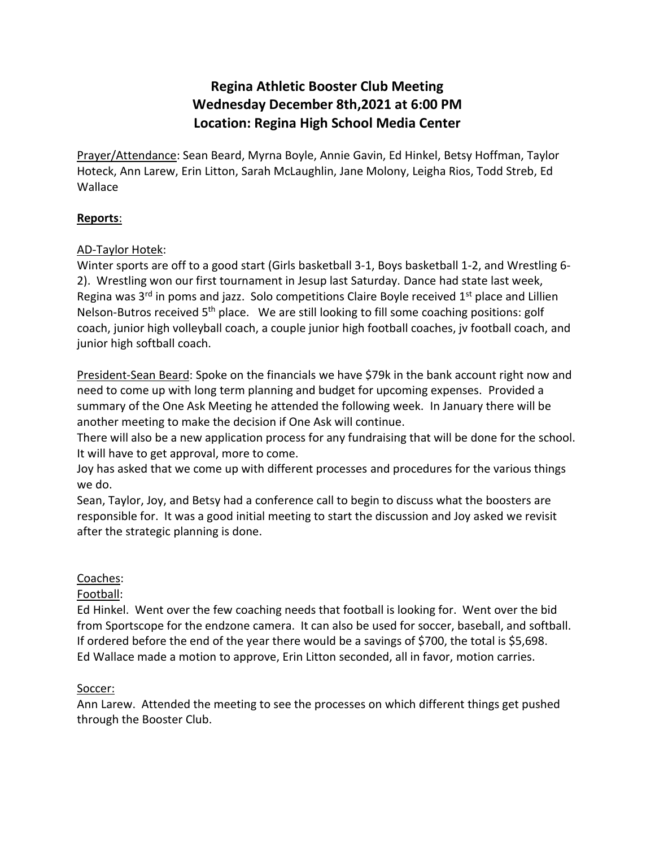# **Regina Athletic Booster Club Meeting Wednesday December 8th,2021 at 6:00 PM Location: Regina High School Media Center**

Prayer/Attendance: Sean Beard, Myrna Boyle, Annie Gavin, Ed Hinkel, Betsy Hoffman, Taylor Hoteck, Ann Larew, Erin Litton, Sarah McLaughlin, Jane Molony, Leigha Rios, Todd Streb, Ed Wallace

### **Reports**:

### AD-Taylor Hotek:

Winter sports are off to a good start (Girls basketball 3-1, Boys basketball 1-2, and Wrestling 6- 2). Wrestling won our first tournament in Jesup last Saturday. Dance had state last week, Regina was  $3^{rd}$  in poms and jazz. Solo competitions Claire Boyle received  $1^{st}$  place and Lillien Nelson-Butros received 5<sup>th</sup> place. We are still looking to fill some coaching positions: golf coach, junior high volleyball coach, a couple junior high football coaches, jv football coach, and junior high softball coach.

President-Sean Beard: Spoke on the financials we have \$79k in the bank account right now and need to come up with long term planning and budget for upcoming expenses. Provided a summary of the One Ask Meeting he attended the following week. In January there will be another meeting to make the decision if One Ask will continue.

There will also be a new application process for any fundraising that will be done for the school. It will have to get approval, more to come.

Joy has asked that we come up with different processes and procedures for the various things we do.

Sean, Taylor, Joy, and Betsy had a conference call to begin to discuss what the boosters are responsible for. It was a good initial meeting to start the discussion and Joy asked we revisit after the strategic planning is done.

### Coaches:

# Football:

Ed Hinkel. Went over the few coaching needs that football is looking for. Went over the bid from Sportscope for the endzone camera. It can also be used for soccer, baseball, and softball. If ordered before the end of the year there would be a savings of \$700, the total is \$5,698. Ed Wallace made a motion to approve, Erin Litton seconded, all in favor, motion carries.

# Soccer:

Ann Larew. Attended the meeting to see the processes on which different things get pushed through the Booster Club.